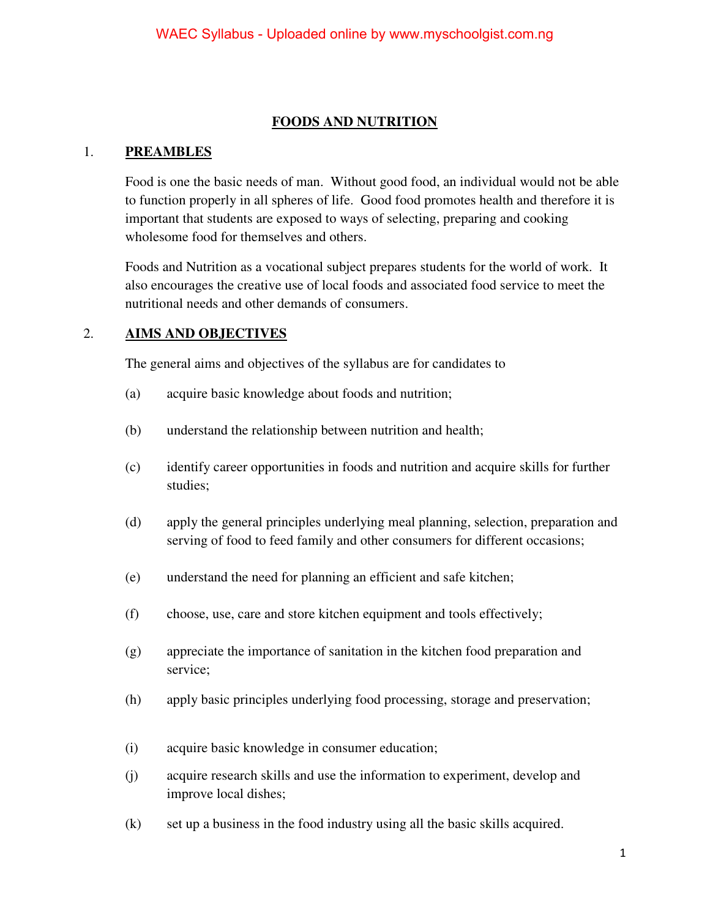#### **FOODS AND NUTRITION**

#### 1. **PREAMBLES**

Food is one the basic needs of man. Without good food, an individual would not be able to function properly in all spheres of life. Good food promotes health and therefore it is important that students are exposed to ways of selecting, preparing and cooking wholesome food for themselves and others.

Foods and Nutrition as a vocational subject prepares students for the world of work. It also encourages the creative use of local foods and associated food service to meet the nutritional needs and other demands of consumers.

#### 2. **AIMS AND OBJECTIVES**

The general aims and objectives of the syllabus are for candidates to

- (a) acquire basic knowledge about foods and nutrition;
- (b) understand the relationship between nutrition and health;
- (c) identify career opportunities in foods and nutrition and acquire skills for further studies;
- (d) apply the general principles underlying meal planning, selection, preparation and serving of food to feed family and other consumers for different occasions;
- (e) understand the need for planning an efficient and safe kitchen;
- (f) choose, use, care and store kitchen equipment and tools effectively;
- (g) appreciate the importance of sanitation in the kitchen food preparation and service;
- (h) apply basic principles underlying food processing, storage and preservation;
- (i) acquire basic knowledge in consumer education;
- (j) acquire research skills and use the information to experiment, develop and improve local dishes;
- (k) set up a business in the food industry using all the basic skills acquired.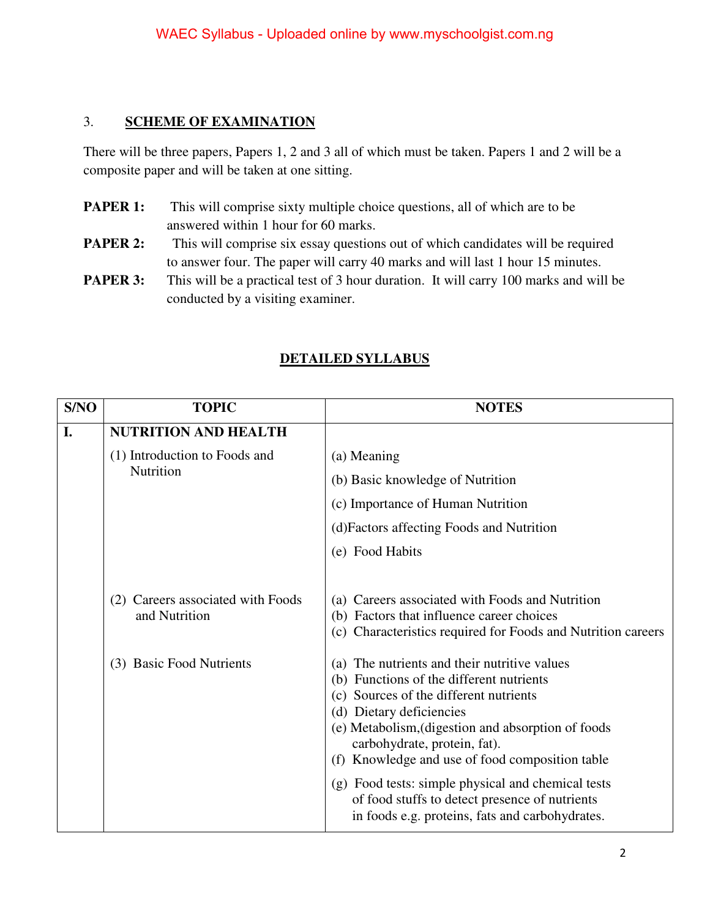#### 3. **SCHEME OF EXAMINATION**

There will be three papers, Papers 1, 2 and 3 all of which must be taken. Papers 1 and 2 will be a composite paper and will be taken at one sitting.

- **PAPER 1:** This will comprise sixty multiple choice questions, all of which are to be answered within 1 hour for 60 marks.
- **PAPER 2:** This will comprise six essay questions out of which candidates will be required to answer four. The paper will carry 40 marks and will last 1 hour 15 minutes.
- **PAPER 3:** This will be a practical test of 3 hour duration. It will carry 100 marks and will be conducted by a visiting examiner.

### **DETAILED SYLLABUS**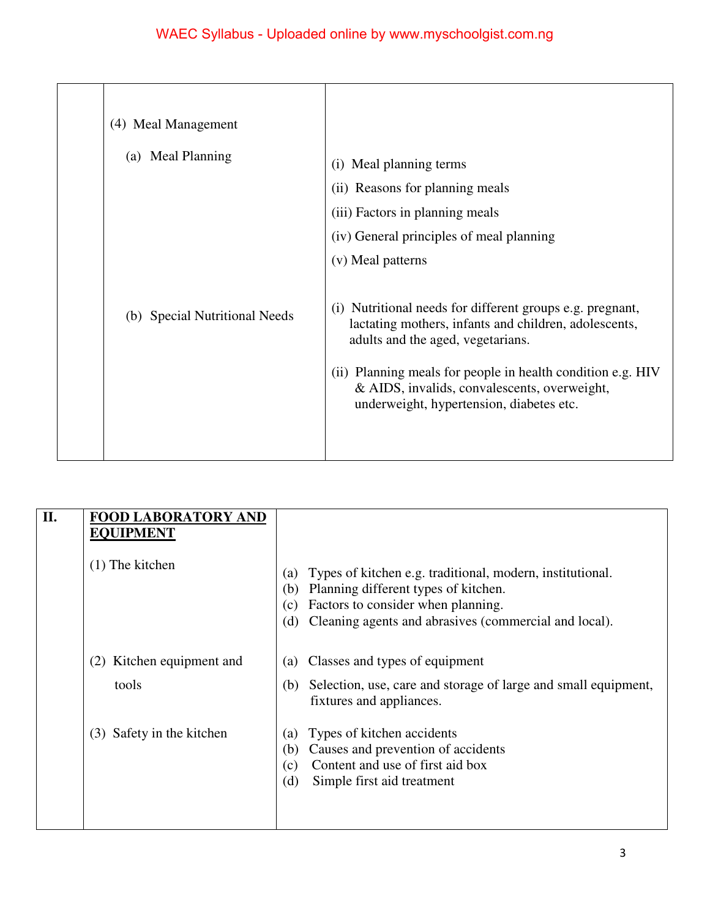| (4) Meal Management           |                                                                                                                                                                                                                                                                                                                       |
|-------------------------------|-----------------------------------------------------------------------------------------------------------------------------------------------------------------------------------------------------------------------------------------------------------------------------------------------------------------------|
| (a) Meal Planning             | Meal planning terms<br>(i)<br>(ii) Reasons for planning meals<br>(iii) Factors in planning meals<br>(iv) General principles of meal planning<br>(v) Meal patterns                                                                                                                                                     |
| (b) Special Nutritional Needs | Nutritional needs for different groups e.g. pregnant,<br>(i)<br>lactating mothers, infants and children, adolescents,<br>adults and the aged, vegetarians.<br>(ii) Planning meals for people in health condition e.g. HIV<br>& AIDS, invalids, convalescents, overweight,<br>underweight, hypertension, diabetes etc. |

| II. | <b>FOOD LABORATORY AND</b><br><b>EQUIPMENT</b> |                                                                                                                                                                                                                              |
|-----|------------------------------------------------|------------------------------------------------------------------------------------------------------------------------------------------------------------------------------------------------------------------------------|
|     | $(1)$ The kitchen                              | Types of kitchen e.g. traditional, modern, institutional.<br>(a)<br>Planning different types of kitchen.<br>(b)<br>Factors to consider when planning.<br>(c)<br>Cleaning agents and abrasives (commercial and local).<br>(d) |
|     | Kitchen equipment and<br>(2)                   | Classes and types of equipment<br>(a)                                                                                                                                                                                        |
|     | tools                                          | Selection, use, care and storage of large and small equipment,<br>(b)<br>fixtures and appliances.                                                                                                                            |
|     | Safety in the kitchen<br>(3)                   | Types of kitchen accidents<br>(a)<br>Causes and prevention of accidents<br>(b)<br>Content and use of first aid box<br>(c)<br>(d)<br>Simple first aid treatment                                                               |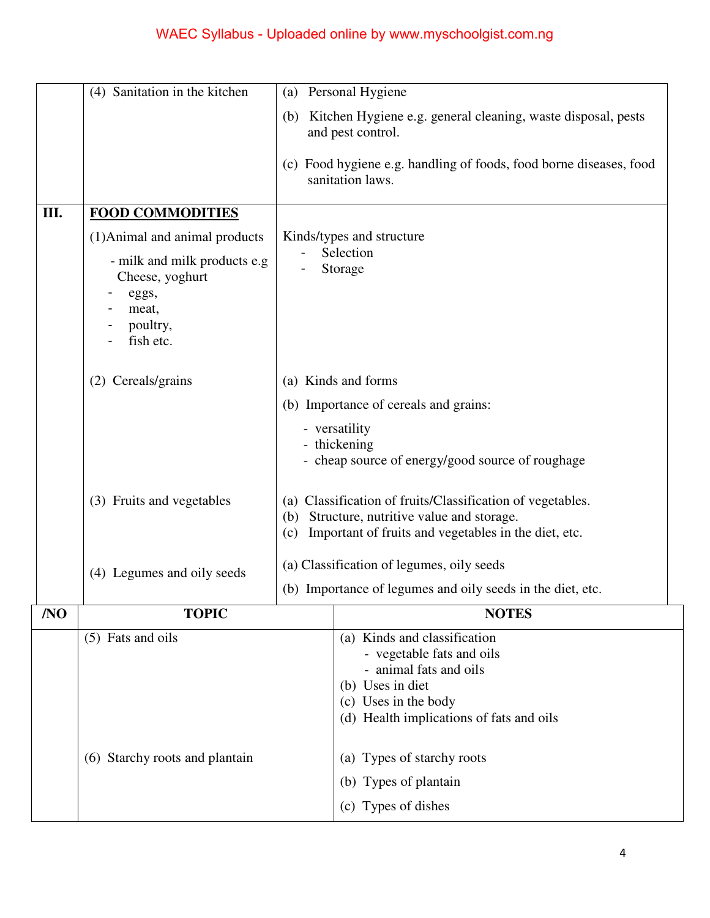|     | (4) Sanitation in the kitchen                                                              |                                                                                                                                                                                                                                                                     | (a) Personal Hygiene                                                                                                                                                                                      |
|-----|--------------------------------------------------------------------------------------------|---------------------------------------------------------------------------------------------------------------------------------------------------------------------------------------------------------------------------------------------------------------------|-----------------------------------------------------------------------------------------------------------------------------------------------------------------------------------------------------------|
|     |                                                                                            | (b)                                                                                                                                                                                                                                                                 | Kitchen Hygiene e.g. general cleaning, waste disposal, pests<br>and pest control.                                                                                                                         |
|     |                                                                                            |                                                                                                                                                                                                                                                                     | (c) Food hygiene e.g. handling of foods, food borne diseases, food<br>sanitation laws.                                                                                                                    |
| Ш.  | <b>FOOD COMMODITIES</b>                                                                    |                                                                                                                                                                                                                                                                     |                                                                                                                                                                                                           |
|     | (1) Animal and animal products                                                             |                                                                                                                                                                                                                                                                     | Kinds/types and structure                                                                                                                                                                                 |
|     | - milk and milk products e.g<br>Cheese, yoghurt<br>eggs,<br>meat,<br>poultry,<br>fish etc. | Selection<br>Storage                                                                                                                                                                                                                                                |                                                                                                                                                                                                           |
|     | (2) Cereals/grains                                                                         | (a) Kinds and forms                                                                                                                                                                                                                                                 |                                                                                                                                                                                                           |
|     |                                                                                            |                                                                                                                                                                                                                                                                     | (b) Importance of cereals and grains:                                                                                                                                                                     |
|     |                                                                                            | - versatility<br>- thickening<br>- cheap source of energy/good source of roughage<br>Classification of fruits/Classification of vegetables.<br>(a)<br>Structure, nutritive value and storage.<br>(b)<br>Important of fruits and vegetables in the diet, etc.<br>(c) |                                                                                                                                                                                                           |
|     | (3) Fruits and vegetables                                                                  |                                                                                                                                                                                                                                                                     |                                                                                                                                                                                                           |
|     | (4) Legumes and oily seeds                                                                 |                                                                                                                                                                                                                                                                     | (a) Classification of legumes, oily seeds                                                                                                                                                                 |
|     |                                                                                            | (b) Importance of legumes and oily seeds in the diet, etc.                                                                                                                                                                                                          |                                                                                                                                                                                                           |
| /NO | <b>TOPIC</b>                                                                               |                                                                                                                                                                                                                                                                     | <b>NOTES</b>                                                                                                                                                                                              |
|     | (5) Fats and oils<br>Starchy roots and plantain<br>(6)                                     |                                                                                                                                                                                                                                                                     | (a) Kinds and classification<br>- vegetable fats and oils<br>- animal fats and oils<br>(b) Uses in diet<br>(c) Uses in the body<br>(d) Health implications of fats and oils<br>(a) Types of starchy roots |
|     |                                                                                            |                                                                                                                                                                                                                                                                     | (b) Types of plantain                                                                                                                                                                                     |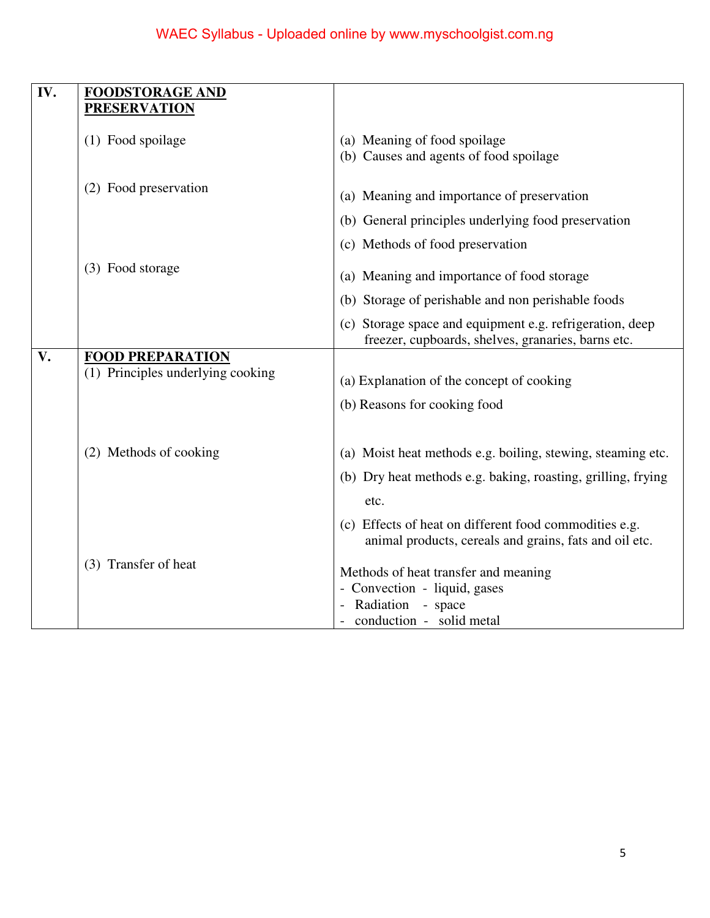| IV. | <b>FOODSTORAGE AND</b><br><b>PRESERVATION</b>                |                                                                                                                  |
|-----|--------------------------------------------------------------|------------------------------------------------------------------------------------------------------------------|
|     | (1) Food spoilage                                            | (a) Meaning of food spoilage<br>(b) Causes and agents of food spoilage                                           |
|     | (2) Food preservation                                        | (a) Meaning and importance of preservation                                                                       |
|     |                                                              | (b) General principles underlying food preservation                                                              |
|     |                                                              | (c) Methods of food preservation                                                                                 |
|     | (3) Food storage                                             | (a) Meaning and importance of food storage                                                                       |
|     |                                                              | (b) Storage of perishable and non perishable foods                                                               |
|     |                                                              | (c) Storage space and equipment e.g. refrigeration, deep<br>freezer, cupboards, shelves, granaries, barns etc.   |
| V.  | <b>FOOD PREPARATION</b><br>(1) Principles underlying cooking | (a) Explanation of the concept of cooking                                                                        |
|     |                                                              | (b) Reasons for cooking food                                                                                     |
|     | (2) Methods of cooking                                       | (a) Moist heat methods e.g. boiling, stewing, steaming etc.                                                      |
|     |                                                              | (b) Dry heat methods e.g. baking, roasting, grilling, frying                                                     |
|     |                                                              | etc.                                                                                                             |
|     |                                                              | (c) Effects of heat on different food commodities e.g.<br>animal products, cereals and grains, fats and oil etc. |
|     | (3) Transfer of heat                                         | Methods of heat transfer and meaning                                                                             |
|     |                                                              | - Convection - liquid, gases<br>Radiation<br>- space                                                             |
|     |                                                              | conduction - solid metal                                                                                         |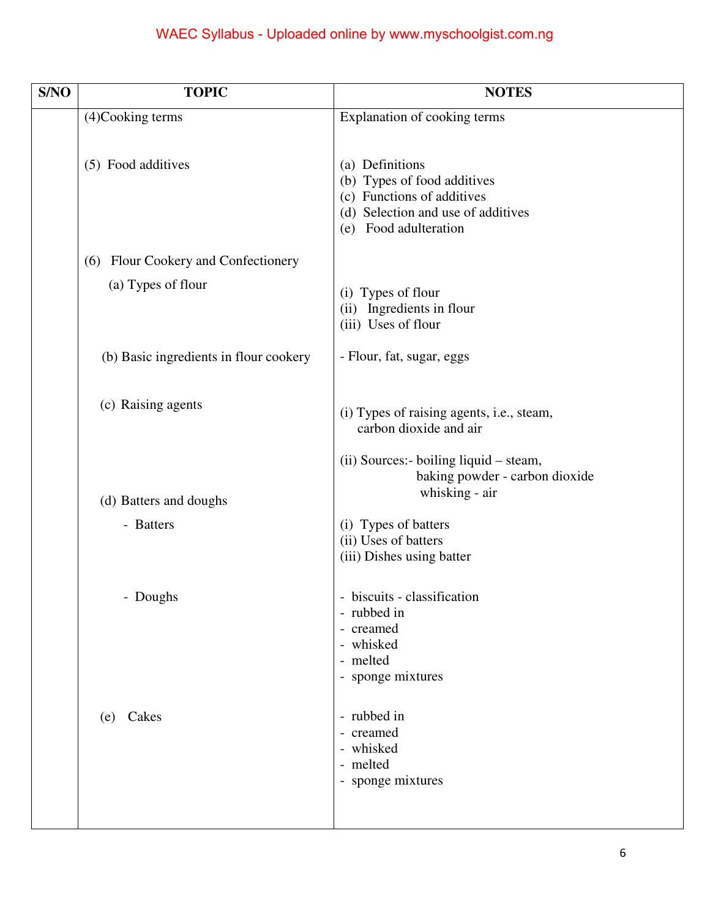| S/NO | <b>TOPIC</b>                           | <b>NOTES</b>                                                                                                                                                            |
|------|----------------------------------------|-------------------------------------------------------------------------------------------------------------------------------------------------------------------------|
|      | (4)Cooking terms                       | Explanation of cooking terms                                                                                                                                            |
|      | (5) Food additives                     | (a) Definitions<br>(b) Types of food additives<br>(c) Functions of additives<br>(d) Selection and use of additives<br>Food adulteration<br>(e)                          |
|      | Flour Cookery and Confectionery<br>(6) |                                                                                                                                                                         |
|      | (a) Types of flour                     | (i) Types of flour<br>Ingredients in flour<br>(ii)<br>(iii) Uses of flour                                                                                               |
|      | (b) Basic ingredients in flour cookery | - Flour, fat, sugar, eggs                                                                                                                                               |
|      | (c) Raising agents                     | (i) Types of raising agents, i.e., steam,<br>carbon dioxide and air                                                                                                     |
|      | (d) Batters and doughs<br>- Batters    | (ii) Sources:- boiling liquid – steam,<br>baking powder - carbon dioxide<br>whisking - air<br>(i) Types of batters<br>(ii) Uses of batters<br>(iii) Dishes using batter |
|      | - Doughs                               | - biscuits - classification<br>- rubbed in<br>- creamed<br>- whisked<br>- melted<br>- sponge mixtures                                                                   |
|      | (e) Cakes                              | - rubbed in<br>- creamed<br>- whisked<br>- melted<br>- sponge mixtures                                                                                                  |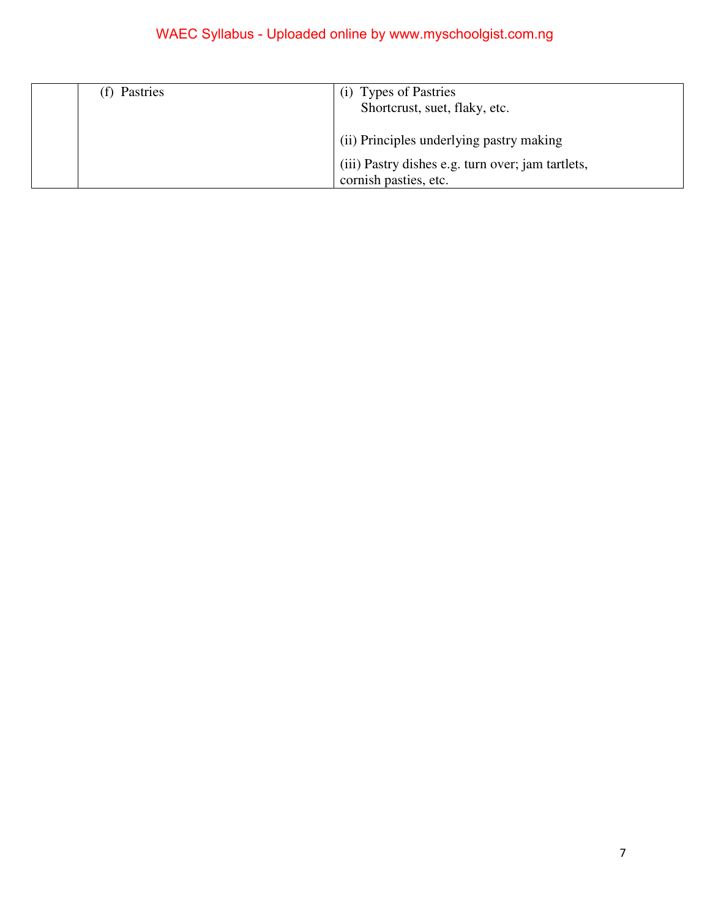| (f) Pastries | <b>Types of Pastries</b><br>(1)<br>Shortcrust, suet, flaky, etc.           |
|--------------|----------------------------------------------------------------------------|
|              | (ii) Principles underlying pastry making                                   |
|              | (iii) Pastry dishes e.g. turn over; jam tartlets,<br>cornish pasties, etc. |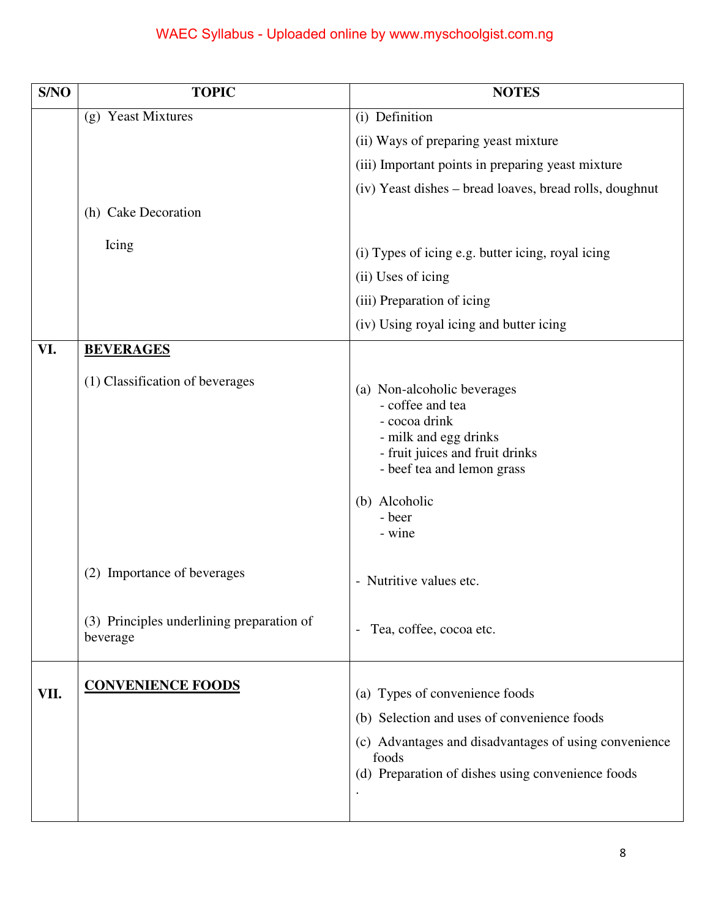| S/NO | <b>TOPIC</b>                                          | <b>NOTES</b>                                                                                                                                                                                    |
|------|-------------------------------------------------------|-------------------------------------------------------------------------------------------------------------------------------------------------------------------------------------------------|
|      | (g) Yeast Mixtures                                    | (i) Definition                                                                                                                                                                                  |
|      |                                                       | (ii) Ways of preparing yeast mixture                                                                                                                                                            |
|      |                                                       | (iii) Important points in preparing yeast mixture                                                                                                                                               |
|      |                                                       | (iv) Yeast dishes – bread loaves, bread rolls, doughnut                                                                                                                                         |
|      | (h) Cake Decoration                                   |                                                                                                                                                                                                 |
|      | Icing                                                 |                                                                                                                                                                                                 |
|      |                                                       | (i) Types of icing e.g. butter icing, royal icing                                                                                                                                               |
|      |                                                       | (ii) Uses of icing                                                                                                                                                                              |
|      |                                                       | (iii) Preparation of icing                                                                                                                                                                      |
|      |                                                       | (iv) Using royal icing and butter icing                                                                                                                                                         |
| VI.  | <b>BEVERAGES</b>                                      |                                                                                                                                                                                                 |
|      | (1) Classification of beverages                       | (a) Non-alcoholic beverages<br>- coffee and tea<br>- cocoa drink<br>- milk and egg drinks<br>- fruit juices and fruit drinks<br>- beef tea and lemon grass<br>(b) Alcoholic<br>- beer<br>- wine |
|      | (2) Importance of beverages                           | - Nutritive values etc.                                                                                                                                                                         |
|      | (3) Principles underlining preparation of<br>beverage | Tea, coffee, cocoa etc.<br>$\overline{\phantom{a}}$                                                                                                                                             |
| VII. | <b>CONVENIENCE FOODS</b>                              | (a) Types of convenience foods<br>(b) Selection and uses of convenience foods                                                                                                                   |
|      |                                                       | (c) Advantages and disadvantages of using convenience<br>foods<br>(d) Preparation of dishes using convenience foods                                                                             |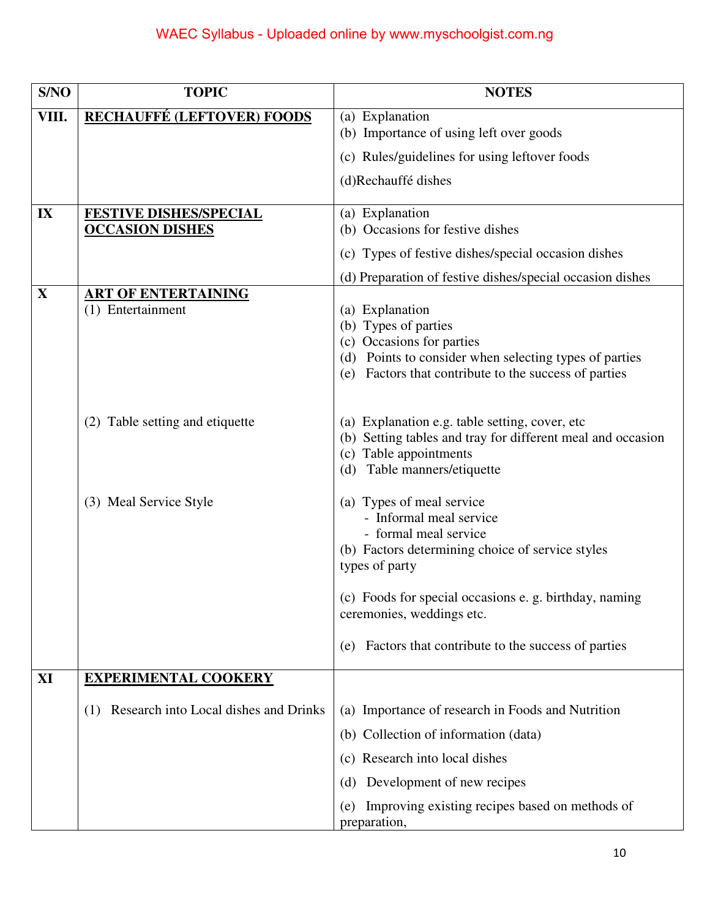| S/NO  | <b>TOPIC</b>                                    | <b>NOTES</b>                                                       |
|-------|-------------------------------------------------|--------------------------------------------------------------------|
| VIII. | <b>RECHAUFFÉ (LEFTOVER) FOODS</b>               | (a) Explanation                                                    |
|       |                                                 | (b) Importance of using left over goods                            |
|       |                                                 | (c) Rules/guidelines for using leftover foods                      |
|       |                                                 | (d)Rechauffé dishes                                                |
| IX    | <b>FESTIVE DISHES/SPECIAL</b>                   | (a) Explanation                                                    |
|       | <b>OCCASION DISHES</b>                          | (b) Occasions for festive dishes                                   |
|       |                                                 | (c) Types of festive dishes/special occasion dishes                |
|       |                                                 | (d) Preparation of festive dishes/special occasion dishes          |
| X     | <b>ART OF ENTERTAINING</b><br>(1) Entertainment |                                                                    |
|       |                                                 | (a) Explanation<br>(b) Types of parties                            |
|       |                                                 | (c) Occasions for parties                                          |
|       |                                                 | (d) Points to consider when selecting types of parties             |
|       |                                                 | (e) Factors that contribute to the success of parties              |
|       |                                                 |                                                                    |
|       | (2) Table setting and etiquette                 | (a) Explanation e.g. table setting, cover, etc.                    |
|       |                                                 | (b) Setting tables and tray for different meal and occasion        |
|       |                                                 | (c) Table appointments                                             |
|       |                                                 | Table manners/etiquette<br>(d)                                     |
|       | (3) Meal Service Style                          | (a) Types of meal service                                          |
|       |                                                 | - Informal meal service                                            |
|       |                                                 | - formal meal service                                              |
|       |                                                 | (b) Factors determining choice of service styles<br>types of party |
|       |                                                 |                                                                    |
|       |                                                 | (c) Foods for special occasions e. g. birthday, naming             |
|       |                                                 | ceremonies, weddings etc.                                          |
|       |                                                 | Factors that contribute to the success of parties<br>(e)           |
| XI    | <b>EXPERIMENTAL COOKERY</b>                     |                                                                    |
|       | Research into Local dishes and Drinks<br>(1)    | (a) Importance of research in Foods and Nutrition                  |
|       |                                                 | (b) Collection of information (data)                               |
|       |                                                 | (c) Research into local dishes                                     |
|       |                                                 | Development of new recipes<br>(d)                                  |
|       |                                                 | Improving existing recipes based on methods of<br>(e)              |
|       |                                                 | preparation,                                                       |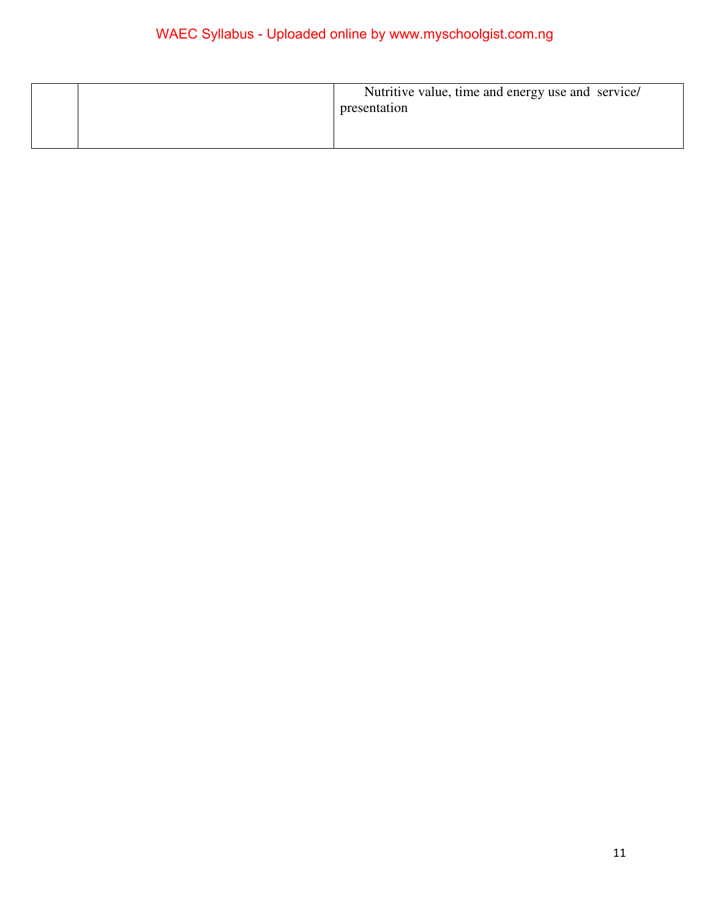|  | Nutritive value, time and energy use and service/<br>presentation |
|--|-------------------------------------------------------------------|
|  |                                                                   |